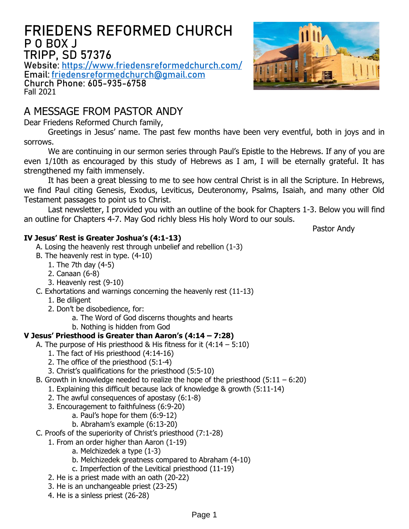## **FRIEDENS REFORMED CHURCH P O BOX J TRIPP, SD 57376**

**Website: <https://www.friedensreformedchurch.com/> Email: [friedensreformedchurch@gmail.com](mailto:friedensreformedchurch@gmail.com) Church Phone: 605-935-6758** Fall 2021

## A MESSAGE FROM PASTOR ANDY

Dear Friedens Reformed Church family,

Greetings in Jesus' name. The past few months have been very eventful, both in joys and in sorrows.

We are continuing in our sermon series through Paul's Epistle to the Hebrews. If any of you are even 1/10th as encouraged by this study of Hebrews as I am, I will be eternally grateful. It has strengthened my faith immensely.

It has been a great blessing to me to see how central Christ is in all the Scripture. In Hebrews, we find Paul citing Genesis, Exodus, Leviticus, Deuteronomy, Psalms, Isaiah, and many other Old Testament passages to point us to Christ.

Last newsletter, I provided you with an outline of the book for Chapters 1-3. Below you will find an outline for Chapters 4-7. May God richly bless His holy Word to our souls.

Pastor Andy

#### **IV Jesus' Rest is Greater Joshua's (4:1-13)**

- A. Losing the heavenly rest through unbelief and rebellion (1-3)
- B. The heavenly rest in type. (4-10)
	- 1. The 7th day (4-5)
	- 2. Canaan (6-8)
	- 3. Heavenly rest (9-10)
- C. Exhortations and warnings concerning the heavenly rest (11-13)
	- 1. Be diligent
	- 2. Don't be disobedience, for:
		- a. The Word of God discerns thoughts and hearts
		- b. Nothing is hidden from God

#### **V Jesus' Priesthood is Greater than Aaron's (4:14 – 7:28)**

- A. The purpose of His priesthood & His fitness for it  $(4:14 5:10)$ 
	- 1. The fact of His priesthood (4:14-16)
	- 2. The office of the priesthood (5:1-4)
	- 3. Christ's qualifications for the priesthood (5:5-10)
- B. Growth in knowledge needed to realize the hope of the priesthood  $(5:11 6:20)$ 
	- 1. Explaining this difficult because lack of knowledge & growth (5:11-14)
	- 2. The awful consequences of apostasy (6:1-8)
	- 3. Encouragement to faithfulness (6:9-20)
		- a. Paul's hope for them (6:9-12)
			- b. Abraham's example (6:13-20)
- C. Proofs of the superiority of Christ's priesthood (7:1-28)
	- 1. From an order higher than Aaron (1-19)
		- a. Melchizedek a type (1-3)
		- b. Melchizedek greatness compared to Abraham (4-10)
		- c. Imperfection of the Levitical priesthood (11-19)
	- 2. He is a priest made with an oath (20-22)
	- 3. He is an unchangeable priest (23-25)
	- 4. He is a sinless priest (26-28)

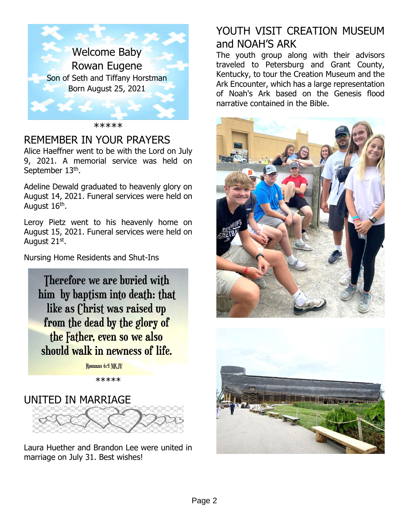

\*\*\*\*\*

## REMEMBER IN YOUR PRAYERS

Alice Haeffner went to be with the Lord on July 9, 2021. A memorial service was held on September 13<sup>th</sup>.

Adeline Dewald graduated to heavenly glory on August 14, 2021. Funeral services were held on August 16<sup>th</sup>.

Leroy Pietz went to his heavenly home on August 15, 2021. Funeral services were held on August 21<sup>st</sup>.

Nursing Home Residents and Shut-Ins

Therefore we are buried with him by baptism into death: that like as Christ was raised up from the dead by the glory of the Father, even so we also should walk in newness of life.

Romans 6:4 NKJV

\*\*\*\*\*

# UNITED IN MARRIAGE



Laura Huether and Brandon Lee were united in marriage on July 31. Best wishes!

# YOUTH VISIT CREATION MUSEUM and NOAH'S ARK

The youth group along with their advisors traveled to Petersburg and Grant County, Kentucky, to tour the Creation Museum and the Ark Encounter, which has a large representation of Noah's Ark based on the Genesis flood narrative contained in the Bible.



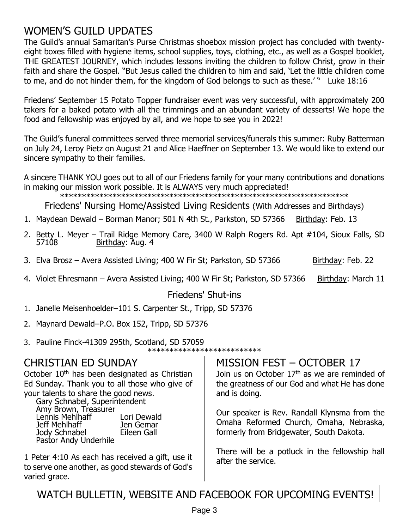## WOMEN'S GUILD UPDATES

The Guild's annual Samaritan's Purse Christmas shoebox mission project has concluded with twentyeight boxes filled with hygiene items, school supplies, toys, clothing, etc., as well as a Gospel booklet, THE GREATEST JOURNEY, which includes lessons inviting the children to follow Christ, grow in their faith and share the Gospel. "But Jesus called the children to him and said, 'Let the little children come to me, and do not hinder them, for the kingdom of God belongs to such as these.' " Luke 18:16

Friedens' September 15 Potato Topper fundraiser event was very successful, with approximately 200 takers for a baked potato with all the trimmings and an abundant variety of desserts! We hope the food and fellowship was enjoyed by all, and we hope to see you in 2022!

The Guild's funeral committees served three memorial services/funerals this summer: Ruby Batterman on July 24, Leroy Pietz on August 21 and Alice Haeffner on September 13. We would like to extend our sincere sympathy to their families.

A sincere THANK YOU goes out to all of our Friedens family for your many contributions and donations in making our mission work possible. It is ALWAYS very much appreciated!

\*\*\*\*\*\*\*\*\*\*\*\*\*\*\*\*\*\*\*\*\*\*\*\*\*\*\*\*\*\*\*\*\*\*\*\*\*\*\*\*\*\*\*\*\*\*\*\*\*\*\*\*\*\*\*\*\*\*\*\*\*\*\*\*\*\*

Friedens' Nursing Home/Assisted Living Residents (With Addresses and Birthdays)

- 1. Maydean Dewald Borman Manor; 501 N 4th St., Parkston, SD 57366 Birthday: Feb. 13
- 2. Betty L. Meyer Trail Ridge Memory Care, 3400 W Ralph Rogers Rd. Apt #104, Sioux Falls, SD 57108 Birthday: Aug. 4
- 3. Elva Brosz Avera Assisted Living; 400 W Fir St; Parkston, SD 57366 Birthday: Feb. 22
- 4. Violet Ehresmann Avera Assisted Living; 400 W Fir St; Parkston, SD 57366 Birthday: March 11

#### Friedens' Shut-ins

- 1. Janelle Meisenhoelder–101 S. Carpenter St., Tripp, SD 57376
- 2. Maynard Dewald–P.O. Box 152, Tripp, SD 57376
- 3. Pauline Finck-41309 295th, Scotland, SD 57059

\*\*\*\*\*\*\*\*\*\*\*\*\*\*\*\*\*\*\*\*\*\*\*\*\*\*

#### CHRISTIAN ED SUNDAY

October 10<sup>th</sup> has been designated as Christian Ed Sunday. Thank you to all those who give of your talents to share the good news. Gary Schnabel, Superintendent Amy Brown, Treasurer

Lennis Mehlhaff Lori Dewald Jeff Mehlhaff Jen Gemar Jody Schnabel Pastor Andy Underhile

1 Peter 4:10 As each has received a gift, use it to serve one another, as good stewards of God's varied grace.

#### MISSION FEST – OCTOBER 17

Join us on October 17<sup>th</sup> as we are reminded of the greatness of our God and what He has done and is doing.

Our speaker is Rev. Randall Klynsma from the Omaha Reformed Church, Omaha, Nebraska, formerly from Bridgewater, South Dakota.

There will be a potluck in the fellowship hall after the service.

WATCH BULLETIN, WEBSITE AND FACEBOOK FOR UPCOMING EVENTS!